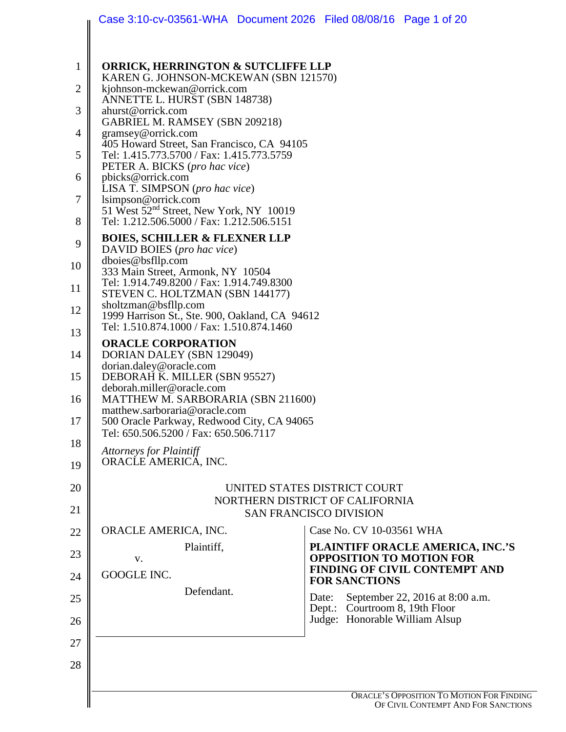|              | Case 3:10-cv-03561-WHA Document 2026 Filed 08/08/16 Page 1 of 20                                                                                       |                                                                                     |  |
|--------------|--------------------------------------------------------------------------------------------------------------------------------------------------------|-------------------------------------------------------------------------------------|--|
|              |                                                                                                                                                        |                                                                                     |  |
| $\mathbf{1}$ | <b>ORRICK, HERRINGTON &amp; SUTCLIFFE LLP</b><br>KAREN G. JOHNSON-MCKEWAN (SBN 121570)                                                                 |                                                                                     |  |
| 2            | kjohnson-mckewan@orrick.com                                                                                                                            |                                                                                     |  |
| 3            | ANNETTE L. HURST (SBN 148738)<br>ahurst@orrick.com<br>GABRIEL M. RAMSEY (SBN 209218)<br>gramsey@orrick.com                                             |                                                                                     |  |
| 4            |                                                                                                                                                        |                                                                                     |  |
| 5            | 405 Howard Street, San Francisco, CA 94105<br>Tel: 1.415.773.5700 / Fax: 1.415.773.5759                                                                |                                                                                     |  |
| 6            | PETER A. BICKS (pro hac vice)<br>pbicks@orrick.com                                                                                                     |                                                                                     |  |
| 7            | LISA T. SIMPSON (pro hac vice)<br>lsimpson@orrick.com                                                                                                  |                                                                                     |  |
| 8            | 51 West 52 <sup>nd</sup> Street, New York, NY 10019<br>Tel: 1.212.506.5000 / Fax: 1.212.506.5151                                                       |                                                                                     |  |
| 9            | <b>BOIES, SCHILLER &amp; FLEXNER LLP</b><br>DAVID BOIES (pro hac vice)                                                                                 |                                                                                     |  |
| 10           | dboies@bsfllp.com<br>333 Main Street, Armonk, NY 10504                                                                                                 |                                                                                     |  |
| 11           | Tel: 1.914.749.8200 / Fax: 1.914.749.8300<br>STEVEN C. HOLTZMAN (SBN 144177)<br>sholtzman@bsfllp.com<br>1999 Harrison St., Ste. 900, Oakland, CA 94612 |                                                                                     |  |
| 12           |                                                                                                                                                        |                                                                                     |  |
| 13           | Tel: 1.510.874.1000 / Fax: 1.510.874.1460                                                                                                              |                                                                                     |  |
| 14           | <b>ORACLE CORPORATION</b><br>DORIAN DALEY (SBN 129049)<br>dorian.daley@oracle.com<br>DEBORAH K. MILLER (SBN 95527)                                     |                                                                                     |  |
| 15           |                                                                                                                                                        |                                                                                     |  |
| 16           | deborah.miller@oracle.com<br>MATTHEW M. SARBORARIA (SBN 211600)                                                                                        |                                                                                     |  |
| 17           | matthew.sarboraria@oracle.com<br>500 Oracle Parkway, Redwood City, CA 94065                                                                            |                                                                                     |  |
| 18           | Tel: 650.506.5200 / Fax: 650.506.7117                                                                                                                  |                                                                                     |  |
| 19           | <b>Attorneys for Plaintiff</b><br>ORACLE AMERICA, INC.                                                                                                 |                                                                                     |  |
| 20           |                                                                                                                                                        | UNITED STATES DISTRICT COURT                                                        |  |
| 21           | NORTHERN DISTRICT OF CALIFORNIA<br><b>SAN FRANCISCO DIVISION</b>                                                                                       |                                                                                     |  |
| 22           | ORACLE AMERICA, INC.                                                                                                                                   | Case No. CV 10-03561 WHA                                                            |  |
| 23           | Plaintiff,<br>V.                                                                                                                                       | PLAINTIFF ORACLE AMERICA, INC.'S<br><b>OPPOSITION TO MOTION FOR</b>                 |  |
| 24           | GOOGLE INC.                                                                                                                                            | FINDING OF CIVIL CONTEMPT AND<br><b>FOR SANCTIONS</b>                               |  |
| 25           | Defendant.                                                                                                                                             | September 22, 2016 at 8:00 a.m.<br>Date:                                            |  |
| 26           |                                                                                                                                                        | Dept.: Courtroom 8, 19th Floor<br>Judge: Honorable William Alsup                    |  |
| 27           |                                                                                                                                                        |                                                                                     |  |
| 28           |                                                                                                                                                        |                                                                                     |  |
|              |                                                                                                                                                        |                                                                                     |  |
|              |                                                                                                                                                        | <b>ORACLE'S OPPOSITION TO MOTION FOR FINDI</b><br>OF CIVIL CONTEMPT AND FOR SANCTIC |  |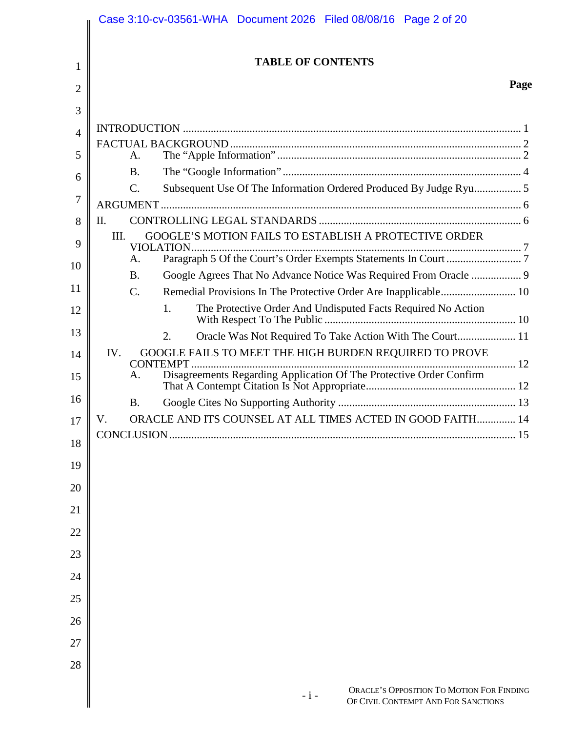|                | Case 3:10-cv-03561-WHA Document 2026 Filed 08/08/16 Page 2 of 20                          |      |
|----------------|-------------------------------------------------------------------------------------------|------|
| 1              | <b>TABLE OF CONTENTS</b>                                                                  |      |
| 2              |                                                                                           | Page |
| 3              |                                                                                           |      |
| $\overline{4}$ |                                                                                           |      |
| 5              | A.                                                                                        |      |
| 6              | <b>B.</b>                                                                                 |      |
|                | Subsequent Use Of The Information Ordered Produced By Judge Ryu 5<br>C.                   |      |
| 7              |                                                                                           |      |
| 8              | $\Pi$ .                                                                                   |      |
| 9              | GOOGLE'S MOTION FAILS TO ESTABLISH A PROTECTIVE ORDER<br>III.<br>VIOLATION                |      |
| 10             | A.                                                                                        |      |
|                | Google Agrees That No Advance Notice Was Required From Oracle  9<br><b>B.</b>             |      |
| 11             | Remedial Provisions In The Protective Order Are Inapplicable 10<br>C.                     |      |
| 12             | The Protective Order And Undisputed Facts Required No Action<br>1.                        |      |
| 13             | Oracle Was Not Required To Take Action With The Court 11<br>2.                            |      |
| 14             | GOOGLE FAILS TO MEET THE HIGH BURDEN REQUIRED TO PROVE<br>IV.                             |      |
| 15             | Disagreements Regarding Application Of The Protective Order Confirm<br>A.                 |      |
| 16             | <b>B.</b>                                                                                 |      |
| 17             | ORACLE AND ITS COUNSEL AT ALL TIMES ACTED IN GOOD FAITH 14<br>V.                          |      |
| 18             |                                                                                           | 15   |
| 19             |                                                                                           |      |
| 20             |                                                                                           |      |
| 21             |                                                                                           |      |
| 22             |                                                                                           |      |
| 23             |                                                                                           |      |
| 24             |                                                                                           |      |
| 25             |                                                                                           |      |
| 26             |                                                                                           |      |
| 27             |                                                                                           |      |
| 28             |                                                                                           |      |
|                | ORACLE'S OPPOSITION TO MOTION FOR FINDING<br>$-1-$<br>OF CIVIL CONTEMPT AND FOR SANCTIONS |      |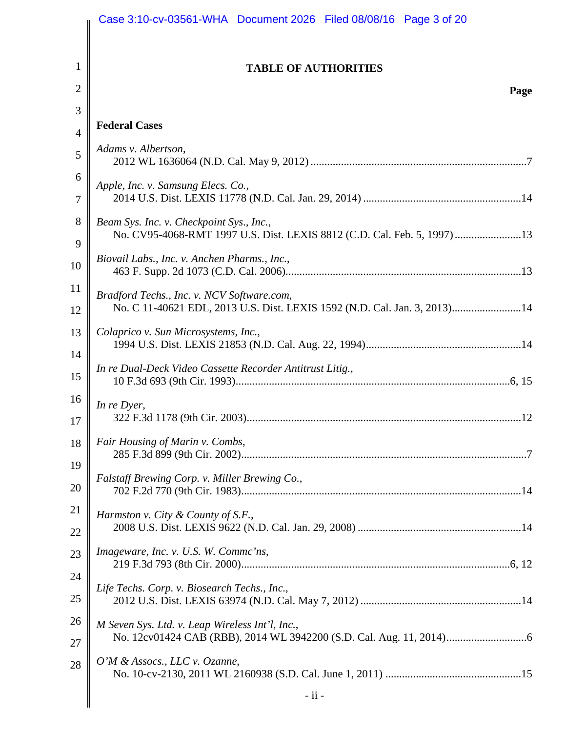|                | Case 3:10-cv-03561-WHA  Document 2026  Filed 08/08/16  Page 3 of 20                                                     |
|----------------|-------------------------------------------------------------------------------------------------------------------------|
| $\mathbf{1}$   | <b>TABLE OF AUTHORITIES</b>                                                                                             |
| $\overline{2}$ | Page                                                                                                                    |
| 3              |                                                                                                                         |
| $\overline{4}$ | <b>Federal Cases</b>                                                                                                    |
| 5              | Adams v. Albertson,                                                                                                     |
| 6<br>7         | Apple, Inc. v. Samsung Elecs. Co.,                                                                                      |
| 8<br>9         | Beam Sys. Inc. v. Checkpoint Sys., Inc.,<br>No. CV95-4068-RMT 1997 U.S. Dist. LEXIS 8812 (C.D. Cal. Feb. 5, 1997)13     |
| 10             | Biovail Labs., Inc. v. Anchen Pharms., Inc.,                                                                            |
| 11<br>12       | Bradford Techs., Inc. v. NCV Software.com,<br>No. C 11-40621 EDL, 2013 U.S. Dist. LEXIS 1592 (N.D. Cal. Jan. 3, 2013)14 |
| 13<br>14       | Colaprico v. Sun Microsystems, Inc.,                                                                                    |
| 15             | In re Dual-Deck Video Cassette Recorder Antitrust Litig.,                                                               |
| 16<br>17       | In re Dyer,                                                                                                             |
| 18<br>19       | Fair Housing of Marin v. Combs,                                                                                         |
| 20             | Falstaff Brewing Corp. v. Miller Brewing Co.,                                                                           |
| 21<br>22       | Harmston v. City & County of S.F.,                                                                                      |
| 23             | Imageware, Inc. v. U.S. W. Commc'ns,                                                                                    |
| 24<br>25       | Life Techs. Corp. v. Biosearch Techs., Inc.,                                                                            |
| 26<br>27       | M Seven Sys. Ltd. v. Leap Wireless Int'l, Inc.,                                                                         |
| 28             | O'M & Assocs., LLC v. Ozanne,                                                                                           |
|                | $-ii -$                                                                                                                 |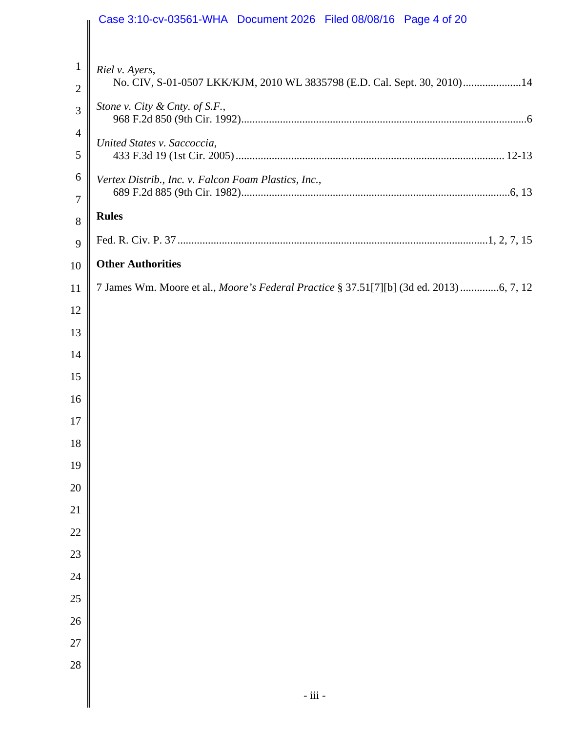|                                | Case 3:10-cv-03561-WHA  Document 2026  Filed 08/08/16  Page 4 of 20                        |
|--------------------------------|--------------------------------------------------------------------------------------------|
|                                |                                                                                            |
| $\mathbf{1}$<br>$\overline{2}$ | Riel v. Ayers,<br>No. CIV, S-01-0507 LKK/KJM, 2010 WL 3835798 (E.D. Cal. Sept. 30, 2010)14 |
| 3                              | Stone v. City & Cnty. of S.F.,                                                             |
| $\overline{4}$<br>5            | United States v. Saccoccia,                                                                |
| 6                              | Vertex Distrib., Inc. v. Falcon Foam Plastics, Inc.,                                       |
| $\overline{7}$<br>8            | <b>Rules</b>                                                                               |
| 9                              |                                                                                            |
| 10                             | <b>Other Authorities</b>                                                                   |
| 11                             | 7 James Wm. Moore et al., Moore's Federal Practice § 37.51[7][b] (3d ed. 2013) 6, 7, 12    |
| 12                             |                                                                                            |
| 13                             |                                                                                            |
| 14                             |                                                                                            |
| 15                             |                                                                                            |
| 16                             |                                                                                            |
| 17                             |                                                                                            |
| 18                             |                                                                                            |
| 19                             |                                                                                            |
| 20                             |                                                                                            |
| 21                             |                                                                                            |
| 22                             |                                                                                            |
| 23                             |                                                                                            |
| 24                             |                                                                                            |
| 25                             |                                                                                            |
| 26                             |                                                                                            |
| 27                             |                                                                                            |
| 28                             |                                                                                            |
|                                | $-$ iii $-$                                                                                |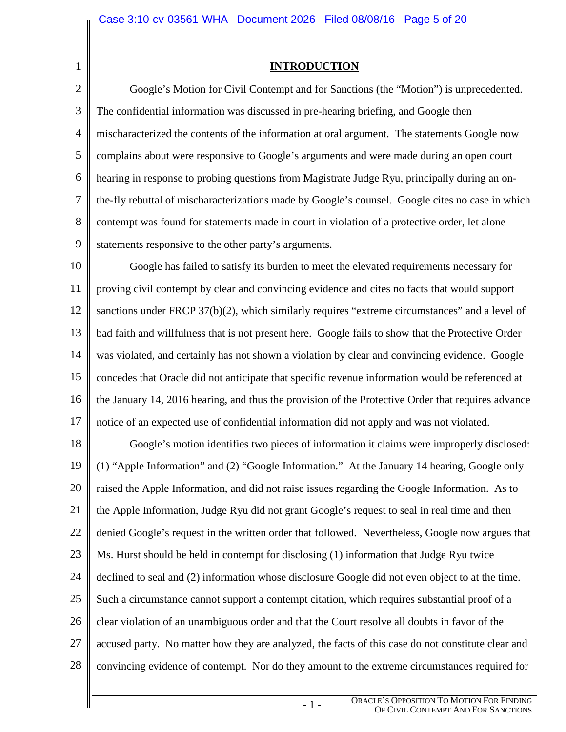1

**INTRODUCTION** 

2 3 4 5 6 7 8 9 Google's Motion for Civil Contempt and for Sanctions (the "Motion") is unprecedented. The confidential information was discussed in pre-hearing briefing, and Google then mischaracterized the contents of the information at oral argument. The statements Google now complains about were responsive to Google's arguments and were made during an open court hearing in response to probing questions from Magistrate Judge Ryu, principally during an onthe-fly rebuttal of mischaracterizations made by Google's counsel. Google cites no case in which contempt was found for statements made in court in violation of a protective order, let alone statements responsive to the other party's arguments.

10 11 12 13 14 15 16 17 Google has failed to satisfy its burden to meet the elevated requirements necessary for proving civil contempt by clear and convincing evidence and cites no facts that would support sanctions under FRCP 37(b)(2), which similarly requires "extreme circumstances" and a level of bad faith and willfulness that is not present here. Google fails to show that the Protective Order was violated, and certainly has not shown a violation by clear and convincing evidence. Google concedes that Oracle did not anticipate that specific revenue information would be referenced at the January 14, 2016 hearing, and thus the provision of the Protective Order that requires advance notice of an expected use of confidential information did not apply and was not violated.

18 19 20 21 22 23 24 25 26 27 28 Google's motion identifies two pieces of information it claims were improperly disclosed: (1) "Apple Information" and (2) "Google Information." At the January 14 hearing, Google only raised the Apple Information, and did not raise issues regarding the Google Information. As to the Apple Information, Judge Ryu did not grant Google's request to seal in real time and then denied Google's request in the written order that followed. Nevertheless, Google now argues that Ms. Hurst should be held in contempt for disclosing (1) information that Judge Ryu twice declined to seal and (2) information whose disclosure Google did not even object to at the time. Such a circumstance cannot support a contempt citation, which requires substantial proof of a clear violation of an unambiguous order and that the Court resolve all doubts in favor of the accused party. No matter how they are analyzed, the facts of this case do not constitute clear and convincing evidence of contempt. Nor do they amount to the extreme circumstances required for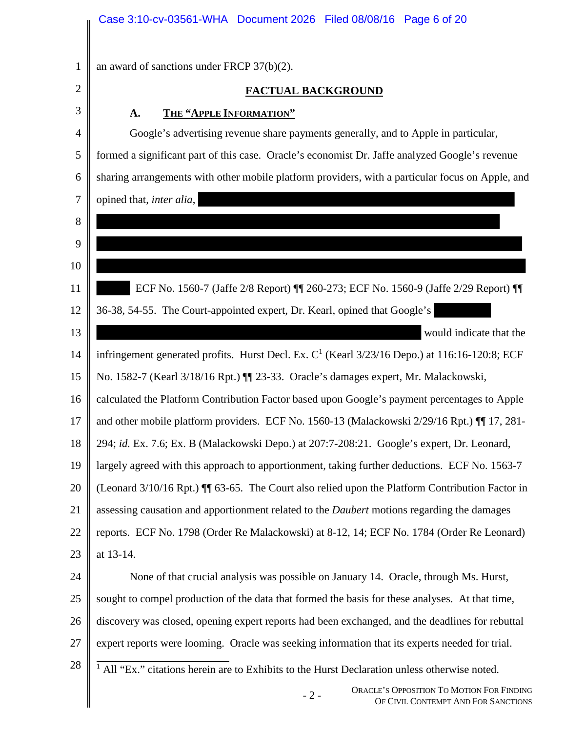|                | Case 3:10-cv-03561-WHA Document 2026 Filed 08/08/16 Page 6 of 20                                                    |  |
|----------------|---------------------------------------------------------------------------------------------------------------------|--|
| $\mathbf{1}$   | an award of sanctions under FRCP $37(b)(2)$ .                                                                       |  |
| $\overline{2}$ | <b>FACTUAL BACKGROUND</b>                                                                                           |  |
| 3              |                                                                                                                     |  |
| 4              | THE "APPLE INFORMATION"<br>A.<br>Google's advertising revenue share payments generally, and to Apple in particular, |  |
|                |                                                                                                                     |  |
| 5              | formed a significant part of this case. Oracle's economist Dr. Jaffe analyzed Google's revenue                      |  |
| 6              | sharing arrangements with other mobile platform providers, with a particular focus on Apple, and                    |  |
| 7              | opined that, <i>inter alia</i> ,                                                                                    |  |
| 8              |                                                                                                                     |  |
| 9              |                                                                                                                     |  |
| 10             |                                                                                                                     |  |
| 11             | ECF No. 1560-7 (Jaffe 2/8 Report)    260-273; ECF No. 1560-9 (Jaffe 2/29 Report)                                    |  |
| 12             | 36-38, 54-55. The Court-appointed expert, Dr. Kearl, opined that Google's                                           |  |
| 13             | would indicate that the                                                                                             |  |
| 14             | infringement generated profits. Hurst Decl. Ex. $C1$ (Kearl 3/23/16 Depo.) at 116:16-120:8; ECF                     |  |
| 15             | No. 1582-7 (Kearl 3/18/16 Rpt.) I 23-33. Oracle's damages expert, Mr. Malackowski,                                  |  |
| 16             | calculated the Platform Contribution Factor based upon Google's payment percentages to Apple                        |  |
| 17             | and other mobile platform providers. ECF No. 1560-13 (Malackowski 2/29/16 Rpt.) II 17, 281-                         |  |
| 18             | 294; id. Ex. 7.6; Ex. B (Malackowski Depo.) at 207:7-208:21. Google's expert, Dr. Leonard,                          |  |
| 19             | largely agreed with this approach to apportionment, taking further deductions. ECF No. 1563-7                       |  |
| 20             | (Leonard 3/10/16 Rpt.) II 63-65. The Court also relied upon the Platform Contribution Factor in                     |  |
| 21             | assessing causation and apportionment related to the <i>Daubert</i> motions regarding the damages                   |  |
| 22             | reports. ECF No. 1798 (Order Re Malackowski) at 8-12, 14; ECF No. 1784 (Order Re Leonard)                           |  |
| 23             | at 13-14.                                                                                                           |  |
| 24             | None of that crucial analysis was possible on January 14. Oracle, through Ms. Hurst,                                |  |
| 25             | sought to compel production of the data that formed the basis for these analyses. At that time,                     |  |
| 26             | discovery was closed, opening expert reports had been exchanged, and the deadlines for rebuttal                     |  |
| 27             | expert reports were looming. Oracle was seeking information that its experts needed for trial.                      |  |
| 28             | <sup>1</sup> All "Ex." citations herein are to Exhibits to the Hurst Declaration unless otherwise noted.            |  |
|                | ORACLE'S OPPOSITION TO MOTION FOR FINDING<br>$-2-$<br>OF CIVIL CONTEMPT AND FOR SANCTIONS                           |  |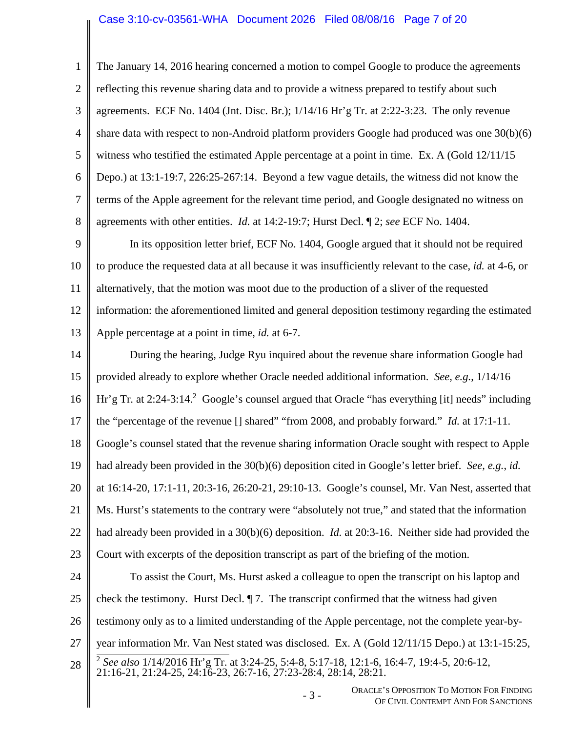#### Case 3:10-cv-03561-WHA Document 2026 Filed 08/08/16 Page 7 of 20

- 3 - ORACLE'S OPPOSITION TO MOTION FOR FINDING 1 2 3 4 5 6 7 8 9 10 11 12 13 14 15 16 17 18 19 20 21 22 23 24 25 26 27 28 The January 14, 2016 hearing concerned a motion to compel Google to produce the agreements reflecting this revenue sharing data and to provide a witness prepared to testify about such agreements. ECF No. 1404 (Jnt. Disc. Br.); 1/14/16 Hr'g Tr. at 2:22-3:23. The only revenue share data with respect to non-Android platform providers Google had produced was one 30(b)(6) witness who testified the estimated Apple percentage at a point in time. Ex. A (Gold 12/11/15 Depo.) at 13:1-19:7, 226:25-267:14. Beyond a few vague details, the witness did not know the terms of the Apple agreement for the relevant time period, and Google designated no witness on agreements with other entities. *Id.* at 14:2-19:7; Hurst Decl. ¶ 2; *see* ECF No. 1404. In its opposition letter brief, ECF No. 1404, Google argued that it should not be required to produce the requested data at all because it was insufficiently relevant to the case, *id.* at 4-6, or alternatively, that the motion was moot due to the production of a sliver of the requested information: the aforementioned limited and general deposition testimony regarding the estimated Apple percentage at a point in time, *id.* at 6-7. During the hearing, Judge Ryu inquired about the revenue share information Google had provided already to explore whether Oracle needed additional information. *See, e.g.*, 1/14/16 Hr'g Tr. at  $2:24-3:14$ .<sup>2</sup> Google's counsel argued that Oracle "has everything [it] needs" including the "percentage of the revenue [] shared" "from 2008, and probably forward." *Id.* at 17:1-11. Google's counsel stated that the revenue sharing information Oracle sought with respect to Apple had already been provided in the 30(b)(6) deposition cited in Google's letter brief. *See, e.g.*, *id.*  at 16:14-20, 17:1-11, 20:3-16, 26:20-21, 29:10-13. Google's counsel, Mr. Van Nest, asserted that Ms. Hurst's statements to the contrary were "absolutely not true," and stated that the information had already been provided in a 30(b)(6) deposition. *Id.* at 20:3-16. Neither side had provided the Court with excerpts of the deposition transcript as part of the briefing of the motion. To assist the Court, Ms. Hurst asked a colleague to open the transcript on his laptop and check the testimony. Hurst Decl. ¶ 7. The transcript confirmed that the witness had given testimony only as to a limited understanding of the Apple percentage, not the complete year-byyear information Mr. Van Nest stated was disclosed. Ex. A (Gold 12/11/15 Depo.) at 13:1-15:25, 2 *See also* 1/14/2016 Hr'g Tr. at 3:24-25, 5:4-8, 5:17-18, 12:1-6, 16:4-7, 19:4-5, 20:6-12, 21:16-21, 21:24-25, 24:16-23, 26:7-16, 27:23-28:4, 28:14, 28:21.

OF CIVIL CONTEMPT AND FOR SANCTIONS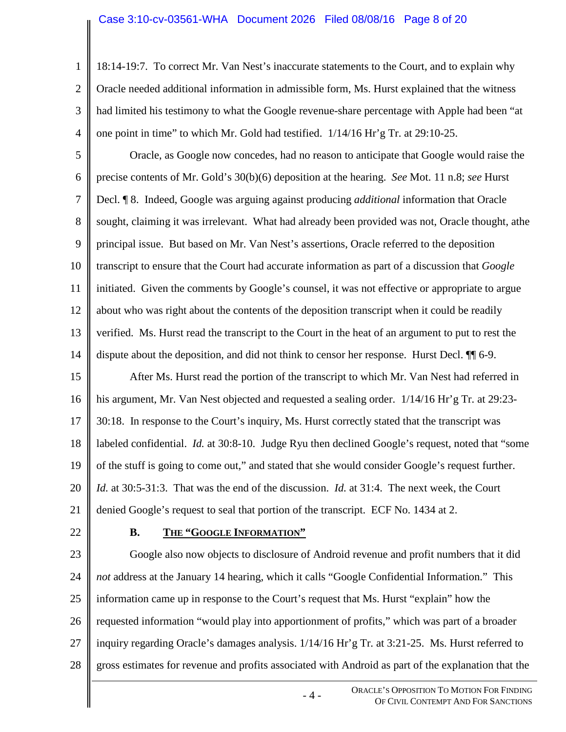#### Case 3:10-cv-03561-WHA Document 2026 Filed 08/08/16 Page 8 of 20

18:14-19:7. To correct Mr. Van Nest's inaccurate statements to the Court, and to explain why Oracle needed additional information in admissible form, Ms. Hurst explained that the witness had limited his testimony to what the Google revenue-share percentage with Apple had been "at one point in time" to which Mr. Gold had testified. 1/14/16 Hr'g Tr. at 29:10-25.

5 6 7 8 9 10 11 12 13 14 Oracle, as Google now concedes, had no reason to anticipate that Google would raise the precise contents of Mr. Gold's 30(b)(6) deposition at the hearing. *See* Mot. 11 n.8; *see* Hurst Decl. ¶ 8. Indeed, Google was arguing against producing *additional* information that Oracle sought, claiming it was irrelevant. What had already been provided was not, Oracle thought, athe principal issue. But based on Mr. Van Nest's assertions, Oracle referred to the deposition transcript to ensure that the Court had accurate information as part of a discussion that *Google* initiated. Given the comments by Google's counsel, it was not effective or appropriate to argue about who was right about the contents of the deposition transcript when it could be readily verified. Ms. Hurst read the transcript to the Court in the heat of an argument to put to rest the dispute about the deposition, and did not think to censor her response. Hurst Decl. ¶¶ 6-9.

15 16 17 18 19 20 21 After Ms. Hurst read the portion of the transcript to which Mr. Van Nest had referred in his argument, Mr. Van Nest objected and requested a sealing order. 1/14/16 Hr'g Tr. at 29:23-30:18. In response to the Court's inquiry, Ms. Hurst correctly stated that the transcript was labeled confidential. *Id.* at 30:8-10. Judge Ryu then declined Google's request, noted that "some of the stuff is going to come out," and stated that she would consider Google's request further. *Id.* at 30:5-31:3. That was the end of the discussion. *Id.* at 31:4. The next week, the Court denied Google's request to seal that portion of the transcript. ECF No. 1434 at 2.

22

1

2

3

4

## **B. THE "GOOGLE INFORMATION"**

23 24 25 26 27 28 Google also now objects to disclosure of Android revenue and profit numbers that it did *not* address at the January 14 hearing, which it calls "Google Confidential Information." This information came up in response to the Court's request that Ms. Hurst "explain" how the requested information "would play into apportionment of profits," which was part of a broader inquiry regarding Oracle's damages analysis. 1/14/16 Hr'g Tr. at 3:21-25. Ms. Hurst referred to gross estimates for revenue and profits associated with Android as part of the explanation that the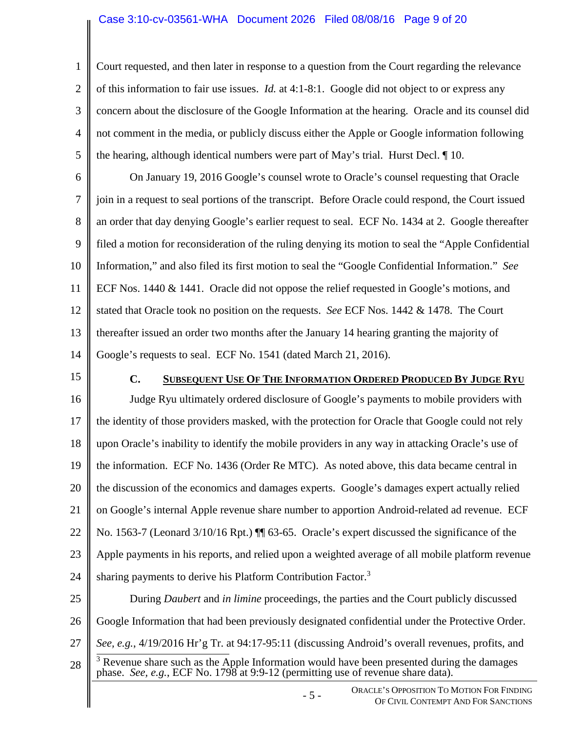#### Case 3:10-cv-03561-WHA Document 2026 Filed 08/08/16 Page 9 of 20

2 3 4 5 Court requested, and then later in response to a question from the Court regarding the relevance of this information to fair use issues. *Id.* at 4:1-8:1. Google did not object to or express any concern about the disclosure of the Google Information at the hearing. Oracle and its counsel did not comment in the media, or publicly discuss either the Apple or Google information following the hearing, although identical numbers were part of May's trial. Hurst Decl. ¶ 10.

6 7 8 9 10 11 12 13 14 On January 19, 2016 Google's counsel wrote to Oracle's counsel requesting that Oracle join in a request to seal portions of the transcript. Before Oracle could respond, the Court issued an order that day denying Google's earlier request to seal. ECF No. 1434 at 2. Google thereafter filed a motion for reconsideration of the ruling denying its motion to seal the "Apple Confidential Information," and also filed its first motion to seal the "Google Confidential Information." *See* ECF Nos. 1440 & 1441. Oracle did not oppose the relief requested in Google's motions, and stated that Oracle took no position on the requests. *See* ECF Nos. 1442 & 1478. The Court thereafter issued an order two months after the January 14 hearing granting the majority of Google's requests to seal. ECF No. 1541 (dated March 21, 2016).

15

1

#### **C. SUBSEQUENT USE OF THE INFORMATION ORDERED PRODUCED BY JUDGE RYU**

16 17 18 19 20 21 22 23 24 Judge Ryu ultimately ordered disclosure of Google's payments to mobile providers with the identity of those providers masked, with the protection for Oracle that Google could not rely upon Oracle's inability to identify the mobile providers in any way in attacking Oracle's use of the information. ECF No. 1436 (Order Re MTC). As noted above, this data became central in the discussion of the economics and damages experts. Google's damages expert actually relied on Google's internal Apple revenue share number to apportion Android-related ad revenue. ECF No. 1563-7 (Leonard 3/10/16 Rpt.) ¶¶ 63-65. Oracle's expert discussed the significance of the Apple payments in his reports, and relied upon a weighted average of all mobile platform revenue sharing payments to derive his Platform Contribution Factor.<sup>3</sup>

25 26 27 28 During *Daubert* and *in limine* proceedings, the parties and the Court publicly discussed Google Information that had been previously designated confidential under the Protective Order. *See, e.g.*, 4/19/2016 Hr'g Tr. at 94:17-95:11 (discussing Android's overall revenues, profits, and  $3$  Revenue share such as the Apple Information would have been presented during the damages phase. *See, e.g.*, ECF No. 1798 at 9:9-12 (permitting use of revenue share data).

> - 5 - ORACLE'S OPPOSITION TO MOTION FOR FINDING OF CIVIL CONTEMPT AND FOR SANCTIONS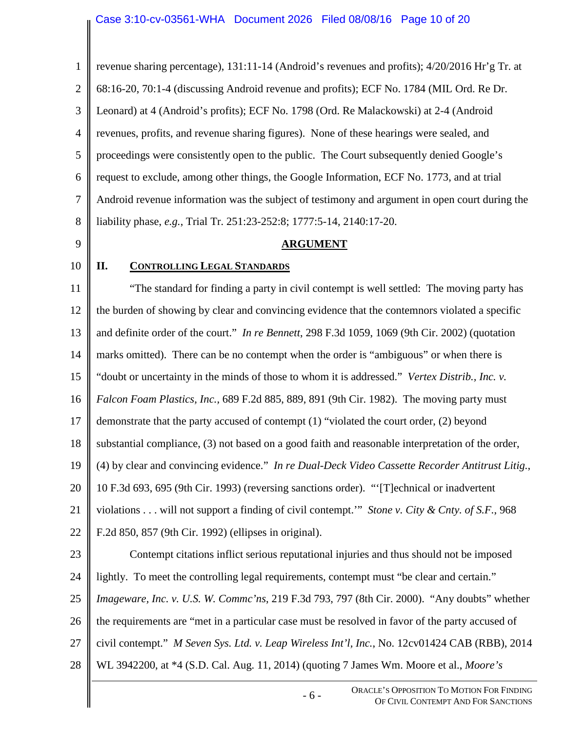|                | Case 3.10-CV-03561-WHA DOCUMENT 2026 FIEQ 08/08/16 Page 10 01 20                                  |
|----------------|---------------------------------------------------------------------------------------------------|
| $\mathbf{1}$   | revenue sharing percentage), 131:11-14 (Android's revenues and profits); 4/20/2016 Hr'g Tr. at    |
| $\overline{2}$ | 68:16-20, 70:1-4 (discussing Android revenue and profits); ECF No. 1784 (MIL Ord. Re Dr.          |
| 3              | Leonard) at 4 (Android's profits); ECF No. 1798 (Ord. Re Malackowski) at 2-4 (Android             |
| $\overline{4}$ | revenues, profits, and revenue sharing figures). None of these hearings were sealed, and          |
| 5              | proceedings were consistently open to the public. The Court subsequently denied Google's          |
| 6              | request to exclude, among other things, the Google Information, ECF No. 1773, and at trial        |
| 7              | Android revenue information was the subject of testimony and argument in open court during the    |
| 8              | liability phase, e.g., Trial Tr. 251:23-252:8; 1777:5-14, 2140:17-20.                             |
| 9              | <b>ARGUMENT</b>                                                                                   |
| 10             | П.<br><b>CONTROLLING LEGAL STANDARDS</b>                                                          |
| 11             | "The standard for finding a party in civil contempt is well settled: The moving party has         |
| 12             | the burden of showing by clear and convincing evidence that the contemnors violated a specific    |
| 13             | and definite order of the court." In re Bennett, 298 F.3d 1059, 1069 (9th Cir. 2002) (quotation   |
| 14             | marks omitted). There can be no contempt when the order is "ambiguous" or when there is           |
| 15             | "doubt or uncertainty in the minds of those to whom it is addressed." Vertex Distrib., Inc. v.    |
| 16             | Falcon Foam Plastics, Inc., 689 F.2d 885, 889, 891 (9th Cir. 1982). The moving party must         |
| 17             | demonstrate that the party accused of contempt (1) "violated the court order, (2) beyond          |
| 18             | substantial compliance, (3) not based on a good faith and reasonable interpretation of the order, |
| 19             | (4) by clear and convincing evidence." In re Dual-Deck Video Cassette Recorder Antitrust Litig.,  |
| 20             | 10 F.3d 693, 695 (9th Cir. 1993) (reversing sanctions order). "Technical or inadvertent           |
| 21             | violations will not support a finding of civil contempt." Stone v. City & Cnty. of S.F., 968      |
| 22             | F.2d 850, 857 (9th Cir. 1992) (ellipses in original).                                             |
| 23             | Contempt citations inflict serious reputational injuries and thus should not be imposed           |
| 24             | lightly. To meet the controlling legal requirements, contempt must "be clear and certain."        |
| 25             | Imageware, Inc. v. U.S. W. Commc'ns, 219 F.3d 793, 797 (8th Cir. 2000). "Any doubts" whether      |
| 26             | the requirements are "met in a particular case must be resolved in favor of the party accused of  |
| 27             | civil contempt." M Seven Sys. Ltd. v. Leap Wireless Int'l, Inc., No. 12cv01424 CAB (RBB), 2014    |
| 28             | WL 3942200, at *4 (S.D. Cal. Aug. 11, 2014) (quoting 7 James Wm. Moore et al., Moore's            |
|                | ORACLE'S OPPOSITION TO MOTION FOR FINDING<br>$-6-$<br>OF CIVIL CONTEMPT AND FOR SANCTIONS         |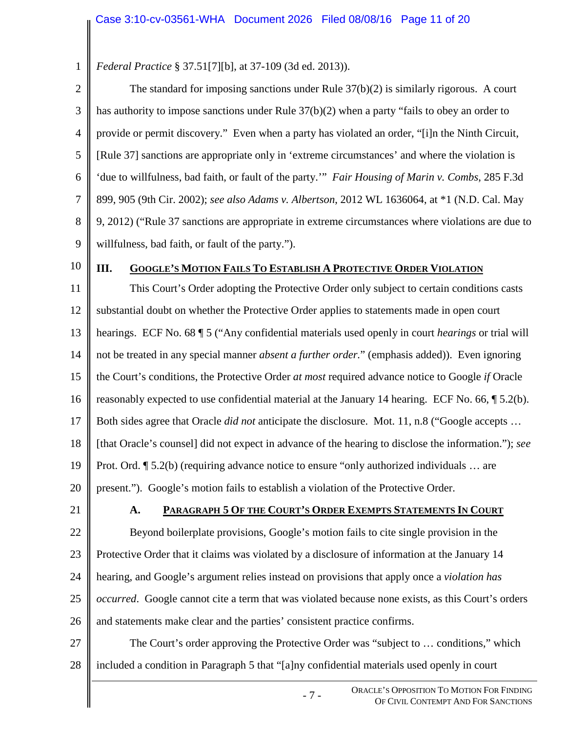1 *Federal Practice* § 37.51[7][b], at 37-109 (3d ed. 2013)).

2 3 4 5 6 7 8 9 The standard for imposing sanctions under Rule 37(b)(2) is similarly rigorous. A court has authority to impose sanctions under Rule 37(b)(2) when a party "fails to obey an order to provide or permit discovery." Even when a party has violated an order, "[i]n the Ninth Circuit, [Rule 37] sanctions are appropriate only in 'extreme circumstances' and where the violation is 'due to willfulness, bad faith, or fault of the party.'" *Fair Housing of Marin v. Combs*, 285 F.3d 899, 905 (9th Cir. 2002); *see also Adams v. Albertson*, 2012 WL 1636064, at \*1 (N.D. Cal. May 9, 2012) ("Rule 37 sanctions are appropriate in extreme circumstances where violations are due to willfulness, bad faith, or fault of the party.").

10

## **III. GOOGLE'S MOTION FAILS TO ESTABLISH A PROTECTIVE ORDER VIOLATION**

11 12 13 14 15 16 17 18 19 20 This Court's Order adopting the Protective Order only subject to certain conditions casts substantial doubt on whether the Protective Order applies to statements made in open court hearings. ECF No. 68 ¶ 5 ("Any confidential materials used openly in court *hearings* or trial will not be treated in any special manner *absent a further order.*" (emphasis added)). Even ignoring the Court's conditions, the Protective Order *at most* required advance notice to Google *if* Oracle reasonably expected to use confidential material at the January 14 hearing. ECF No. 66, ¶ 5.2(b). Both sides agree that Oracle *did not* anticipate the disclosure. Mot. 11, n.8 ("Google accepts … [that Oracle's counsel] did not expect in advance of the hearing to disclose the information."); *see*  Prot. Ord. ¶ 5.2(b) (requiring advance notice to ensure "only authorized individuals … are present."). Google's motion fails to establish a violation of the Protective Order.

21

## **A. PARAGRAPH 5 OF THE COURT'S ORDER EXEMPTS STATEMENTS IN COURT**

22 23 24 25 26 Beyond boilerplate provisions, Google's motion fails to cite single provision in the Protective Order that it claims was violated by a disclosure of information at the January 14 hearing, and Google's argument relies instead on provisions that apply once a *violation has occurred*. Google cannot cite a term that was violated because none exists, as this Court's orders and statements make clear and the parties' consistent practice confirms.

27 28 The Court's order approving the Protective Order was "subject to … conditions," which included a condition in Paragraph 5 that "[a]ny confidential materials used openly in court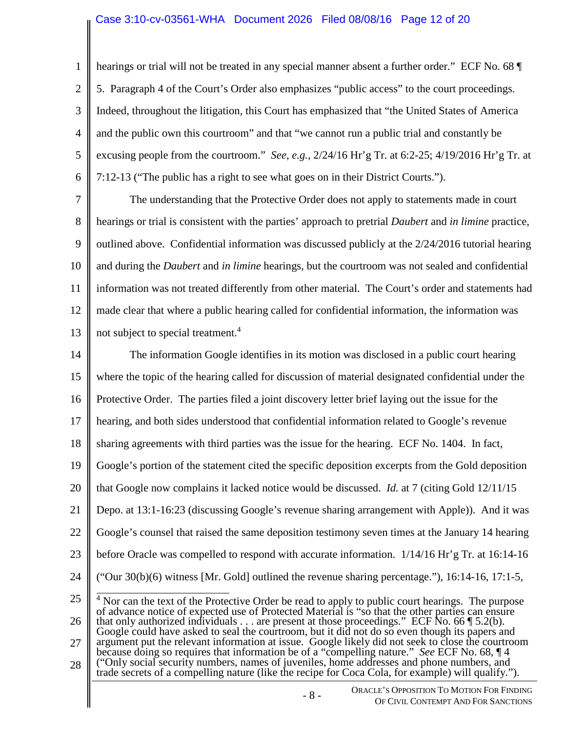#### Case 3:10-cv-03561-WHA Document 2026 Filed 08/08/16 Page 12 of 20

1

2 3 4 5 6 hearings or trial will not be treated in any special manner absent a further order." ECF No. 68 5. Paragraph 4 of the Court's Order also emphasizes "public access" to the court proceedings. Indeed, throughout the litigation, this Court has emphasized that "the United States of America and the public own this courtroom" and that "we cannot run a public trial and constantly be excusing people from the courtroom." *See, e.g.*, 2/24/16 Hr'g Tr. at 6:2-25; 4/19/2016 Hr'g Tr. at 7:12-13 ("The public has a right to see what goes on in their District Courts.").

7 8 9 10 11 12 13 The understanding that the Protective Order does not apply to statements made in court hearings or trial is consistent with the parties' approach to pretrial *Daubert* and *in limine* practice, outlined above. Confidential information was discussed publicly at the 2/24/2016 tutorial hearing and during the *Daubert* and *in limine* hearings, but the courtroom was not sealed and confidential information was not treated differently from other material. The Court's order and statements had made clear that where a public hearing called for confidential information, the information was not subject to special treatment.<sup>4</sup>

14 15 The information Google identifies in its motion was disclosed in a public court hearing where the topic of the hearing called for discussion of material designated confidential under the

16 Protective Order. The parties filed a joint discovery letter brief laying out the issue for the

17 hearing, and both sides understood that confidential information related to Google's revenue

18 sharing agreements with third parties was the issue for the hearing. ECF No. 1404. In fact,

19 Google's portion of the statement cited the specific deposition excerpts from the Gold deposition

20 that Google now complains it lacked notice would be discussed. *Id.* at 7 (citing Gold 12/11/15

21 Depo. at 13:1-16:23 (discussing Google's revenue sharing arrangement with Apple)). And it was

22 Google's counsel that raised the same deposition testimony seven times at the January 14 hearing

23 before Oracle was compelled to respond with accurate information. 1/14/16 Hr'g Tr. at 16:14-16

24 ("Our  $30(b)(6)$  witness [Mr. Gold] outlined the revenue sharing percentage."), 16:14-16, 17:1-5,

- 25 26 27 <sup>4</sup> Nor can the text of the Protective Order be read to apply to public court hearings. The purpose of advance notice of expected use of Protected Material is "so that the other parties can ensure that only authorized individuals . . . are present at those proceedings." ECF No. 66  $\P$  5.2(b). Google could have asked to seal the courtroom, but it did not do so even though its papers and argument put the relevant information at issue. Google likely did not seek to close the courtroom
- 28 because doing so requires that information be of a "compelling nature." *See* ECF No. 68, ¶ 4 ("Only social security numbers, names of juveniles, home addresses and phone numbers, and

trade secrets of a compelling nature (like the recipe for Coca Cola, for example) will qualify.").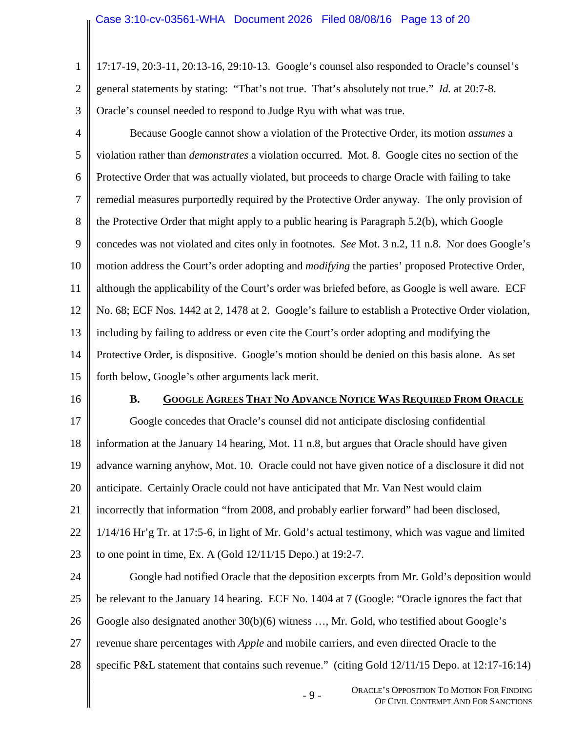1 2 3 17:17-19, 20:3-11, 20:13-16, 29:10-13. Google's counsel also responded to Oracle's counsel's general statements by stating: "That's not true. That's absolutely not true." *Id.* at 20:7-8. Oracle's counsel needed to respond to Judge Ryu with what was true.

- 4 5 6 7 8 9 10 11 12 13 14 15 Because Google cannot show a violation of the Protective Order, its motion *assumes* a violation rather than *demonstrates* a violation occurred. Mot. 8. Google cites no section of the Protective Order that was actually violated, but proceeds to charge Oracle with failing to take remedial measures purportedly required by the Protective Order anyway. The only provision of the Protective Order that might apply to a public hearing is Paragraph 5.2(b), which Google concedes was not violated and cites only in footnotes. *See* Mot. 3 n.2, 11 n.8. Nor does Google's motion address the Court's order adopting and *modifying* the parties' proposed Protective Order, although the applicability of the Court's order was briefed before, as Google is well aware. ECF No. 68; ECF Nos. 1442 at 2, 1478 at 2. Google's failure to establish a Protective Order violation, including by failing to address or even cite the Court's order adopting and modifying the Protective Order, is dispositive. Google's motion should be denied on this basis alone. As set forth below, Google's other arguments lack merit.
- 16

#### **B. GOOGLE AGREES THAT NO ADVANCE NOTICE WAS REQUIRED FROM ORACLE**

17 18 19 20 21 22 23 Google concedes that Oracle's counsel did not anticipate disclosing confidential information at the January 14 hearing, Mot. 11 n.8, but argues that Oracle should have given advance warning anyhow, Mot. 10. Oracle could not have given notice of a disclosure it did not anticipate. Certainly Oracle could not have anticipated that Mr. Van Nest would claim incorrectly that information "from 2008, and probably earlier forward" had been disclosed, 1/14/16 Hr'g Tr. at 17:5-6, in light of Mr. Gold's actual testimony, which was vague and limited to one point in time, Ex. A (Gold 12/11/15 Depo.) at 19:2-7.

24 25 26 27 28 Google had notified Oracle that the deposition excerpts from Mr. Gold's deposition would be relevant to the January 14 hearing. ECF No. 1404 at 7 (Google: "Oracle ignores the fact that Google also designated another 30(b)(6) witness ..., Mr. Gold, who testified about Google's revenue share percentages with *Apple* and mobile carriers, and even directed Oracle to the specific P&L statement that contains such revenue." (citing Gold 12/11/15 Depo. at 12:17-16:14)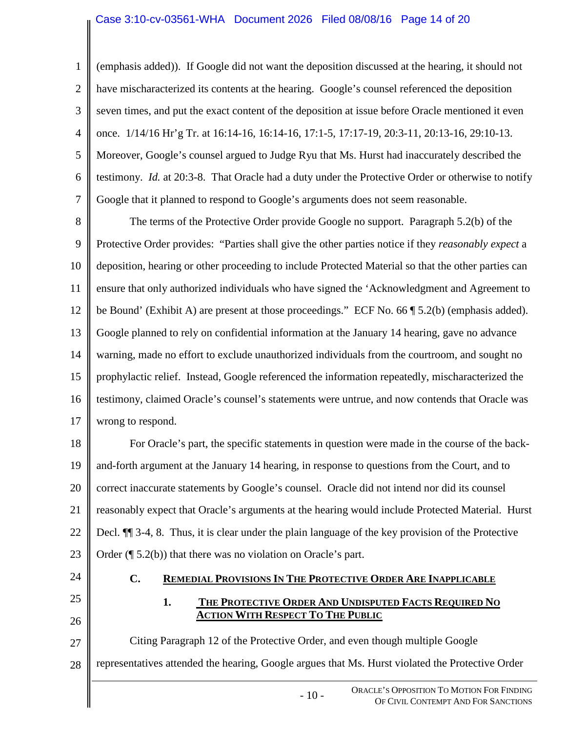#### Case 3:10-cv-03561-WHA Document 2026 Filed 08/08/16 Page 14 of 20

2 3 4 5 6 7 (emphasis added)). If Google did not want the deposition discussed at the hearing, it should not have mischaracterized its contents at the hearing. Google's counsel referenced the deposition seven times, and put the exact content of the deposition at issue before Oracle mentioned it even once. 1/14/16 Hr'g Tr. at 16:14-16, 16:14-16, 17:1-5, 17:17-19, 20:3-11, 20:13-16, 29:10-13. Moreover, Google's counsel argued to Judge Ryu that Ms. Hurst had inaccurately described the testimony. *Id.* at 20:3-8. That Oracle had a duty under the Protective Order or otherwise to notify Google that it planned to respond to Google's arguments does not seem reasonable.

8 9 10 11 12 13 14 15 16 17 The terms of the Protective Order provide Google no support. Paragraph 5.2(b) of the Protective Order provides: "Parties shall give the other parties notice if they *reasonably expect* a deposition, hearing or other proceeding to include Protected Material so that the other parties can ensure that only authorized individuals who have signed the 'Acknowledgment and Agreement to be Bound' (Exhibit A) are present at those proceedings." ECF No. 66 ¶ 5.2(b) (emphasis added). Google planned to rely on confidential information at the January 14 hearing, gave no advance warning, made no effort to exclude unauthorized individuals from the courtroom, and sought no prophylactic relief. Instead, Google referenced the information repeatedly, mischaracterized the testimony, claimed Oracle's counsel's statements were untrue, and now contends that Oracle was wrong to respond.

18 19 20 21 22 23 For Oracle's part, the specific statements in question were made in the course of the backand-forth argument at the January 14 hearing, in response to questions from the Court, and to correct inaccurate statements by Google's counsel. Oracle did not intend nor did its counsel reasonably expect that Oracle's arguments at the hearing would include Protected Material. Hurst Decl. ¶¶ 3-4, 8. Thus, it is clear under the plain language of the key provision of the Protective Order (¶ 5.2(b)) that there was no violation on Oracle's part.

24

25

26

1

## **C. REMEDIAL PROVISIONS IN THE PROTECTIVE ORDER ARE INAPPLICABLE**

## **1. THE PROTECTIVE ORDER AND UNDISPUTED FACTS REQUIRED NO ACTION WITH RESPECT TO THE PUBLIC**

27 28 Citing Paragraph 12 of the Protective Order, and even though multiple Google representatives attended the hearing, Google argues that Ms. Hurst violated the Protective Order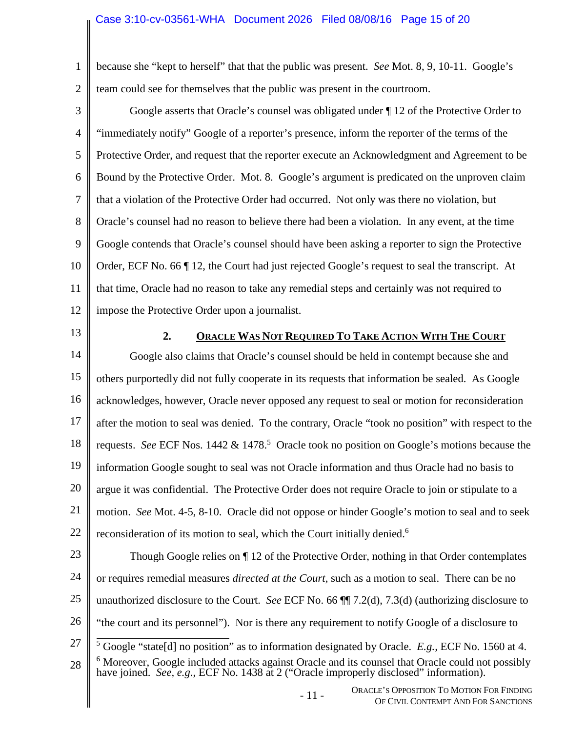#### Case 3:10-cv-03561-WHA Document 2026 Filed 08/08/16 Page 15 of 20

1 2 because she "kept to herself" that that the public was present. *See* Mot. 8, 9, 10-11. Google's team could see for themselves that the public was present in the courtroom.

- 3 4 5 6 7 8 9 10 11 12 Google asserts that Oracle's counsel was obligated under ¶ 12 of the Protective Order to "immediately notify" Google of a reporter's presence, inform the reporter of the terms of the Protective Order, and request that the reporter execute an Acknowledgment and Agreement to be Bound by the Protective Order. Mot. 8. Google's argument is predicated on the unproven claim that a violation of the Protective Order had occurred. Not only was there no violation, but Oracle's counsel had no reason to believe there had been a violation. In any event, at the time Google contends that Oracle's counsel should have been asking a reporter to sign the Protective Order, ECF No. 66 ¶ 12, the Court had just rejected Google's request to seal the transcript. At that time, Oracle had no reason to take any remedial steps and certainly was not required to impose the Protective Order upon a journalist.
- 13

### **2. ORACLE WAS NOT REQUIRED TO TAKE ACTION WITH THE COURT**

14 15 16 17 18 19 20 21 22 Google also claims that Oracle's counsel should be held in contempt because she and others purportedly did not fully cooperate in its requests that information be sealed. As Google acknowledges, however, Oracle never opposed any request to seal or motion for reconsideration after the motion to seal was denied. To the contrary, Oracle "took no position" with respect to the requests. See ECF Nos. 1442 & 1478.<sup>5</sup> Oracle took no position on Google's motions because the information Google sought to seal was not Oracle information and thus Oracle had no basis to argue it was confidential. The Protective Order does not require Oracle to join or stipulate to a motion. *See* Mot. 4-5, 8-10. Oracle did not oppose or hinder Google's motion to seal and to seek reconsideration of its motion to seal, which the Court initially denied.<sup>6</sup>

23 24 25 26 27 28 Though Google relies on ¶ 12 of the Protective Order, nothing in that Order contemplates or requires remedial measures *directed at the Court*, such as a motion to seal. There can be no unauthorized disclosure to the Court. *See* ECF No. 66 ¶¶ 7.2(d), 7.3(d) (authorizing disclosure to "the court and its personnel"). Nor is there any requirement to notify Google of a disclosure to 5 Google "state[d] no position" as to information designated by Oracle. *E.g.,* ECF No. 1560 at 4. <sup>6</sup> Moreover, Google included attacks against Oracle and its counsel that Oracle could not possibly have joined. *See, e.g.*, ECF No. 1438 at 2 ("Oracle improperly disclosed" information).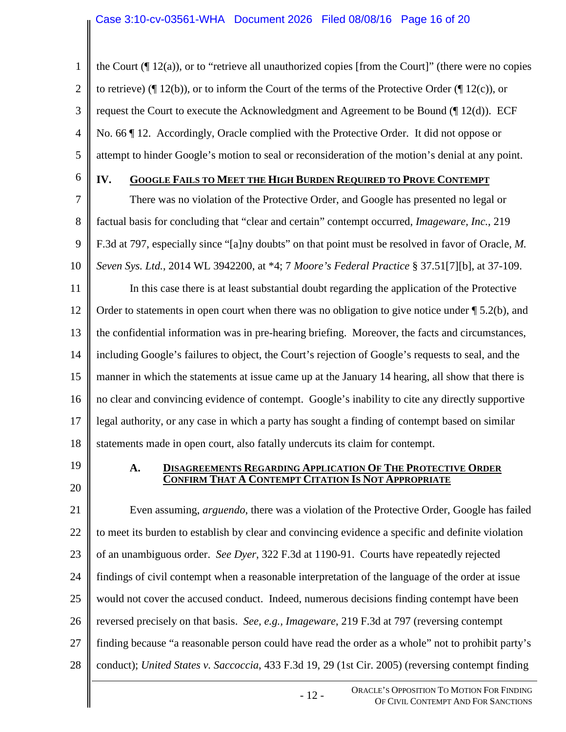1 2 3 4 5 the Court  $(\P 12(a))$ , or to "retrieve all unauthorized copies [from the Court]" (there were no copies to retrieve) ( $\parallel$  12(b)), or to inform the Court of the terms of the Protective Order ( $\parallel$  12(c)), or request the Court to execute the Acknowledgment and Agreement to be Bound (¶ 12(d)). ECF No. 66 ¶ 12. Accordingly, Oracle complied with the Protective Order. It did not oppose or attempt to hinder Google's motion to seal or reconsideration of the motion's denial at any point.

6

# **IV. GOOGLE FAILS TO MEET THE HIGH BURDEN REQUIRED TO PROVE CONTEMPT**

7 8 9 10 11 12 13 14 15 16 17 18 There was no violation of the Protective Order, and Google has presented no legal or factual basis for concluding that "clear and certain" contempt occurred, *Imageware, Inc.*, 219 F.3d at 797, especially since "[a]ny doubts" on that point must be resolved in favor of Oracle, *M. Seven Sys. Ltd.*, 2014 WL 3942200, at \*4; 7 *Moore's Federal Practice* § 37.51[7][b], at 37-109. In this case there is at least substantial doubt regarding the application of the Protective Order to statements in open court when there was no obligation to give notice under  $\P$  5.2(b), and the confidential information was in pre-hearing briefing. Moreover, the facts and circumstances, including Google's failures to object, the Court's rejection of Google's requests to seal, and the manner in which the statements at issue came up at the January 14 hearing, all show that there is no clear and convincing evidence of contempt. Google's inability to cite any directly supportive legal authority, or any case in which a party has sought a finding of contempt based on similar statements made in open court, also fatally undercuts its claim for contempt.

19

20

#### **A. DISAGREEMENTS REGARDING APPLICATION OF THE PROTECTIVE ORDER CONFIRM THAT A CONTEMPT CITATION IS NOT APPROPRIATE**

21 22 23 24 25 26 27 28 Even assuming, *arguendo*, there was a violation of the Protective Order, Google has failed to meet its burden to establish by clear and convincing evidence a specific and definite violation of an unambiguous order. *See Dyer*, 322 F.3d at 1190-91. Courts have repeatedly rejected findings of civil contempt when a reasonable interpretation of the language of the order at issue would not cover the accused conduct. Indeed, numerous decisions finding contempt have been reversed precisely on that basis. *See, e.g., Imageware*, 219 F.3d at 797 (reversing contempt finding because "a reasonable person could have read the order as a whole" not to prohibit party's conduct); *United States v. Saccoccia*, 433 F.3d 19, 29 (1st Cir. 2005) (reversing contempt finding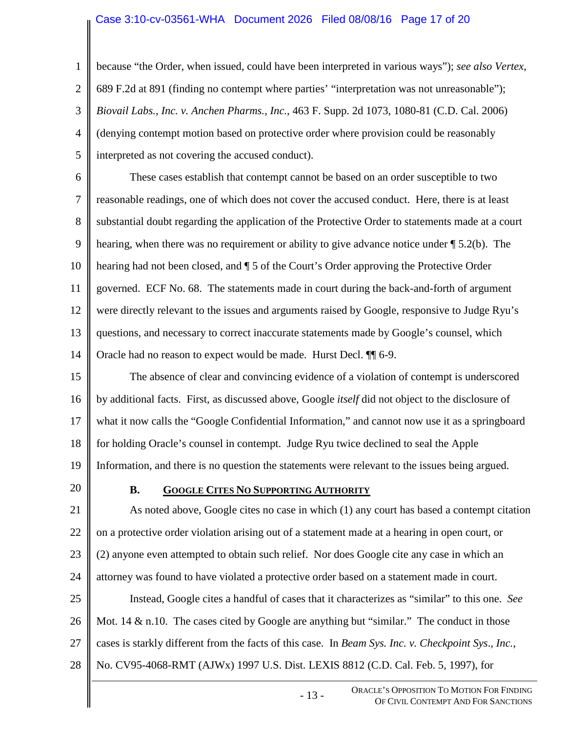#### Case 3:10-cv-03561-WHA Document 2026 Filed 08/08/16 Page 17 of 20

1 2 3 4 5 because "the Order, when issued, could have been interpreted in various ways"); *see also Vertex*, 689 F.2d at 891 (finding no contempt where parties' "interpretation was not unreasonable"); *Biovail Labs., Inc. v. Anchen Pharms., Inc.*, 463 F. Supp. 2d 1073, 1080-81 (C.D. Cal. 2006) (denying contempt motion based on protective order where provision could be reasonably interpreted as not covering the accused conduct).

6 7 8 9 10 11 12 13 14 These cases establish that contempt cannot be based on an order susceptible to two reasonable readings, one of which does not cover the accused conduct. Here, there is at least substantial doubt regarding the application of the Protective Order to statements made at a court hearing, when there was no requirement or ability to give advance notice under ¶ 5.2(b). The hearing had not been closed, and ¶ 5 of the Court's Order approving the Protective Order governed. ECF No. 68. The statements made in court during the back-and-forth of argument were directly relevant to the issues and arguments raised by Google, responsive to Judge Ryu's questions, and necessary to correct inaccurate statements made by Google's counsel, which Oracle had no reason to expect would be made. Hurst Decl. ¶¶ 6-9.

15 16 17 18 19 The absence of clear and convincing evidence of a violation of contempt is underscored by additional facts. First, as discussed above, Google *itself* did not object to the disclosure of what it now calls the "Google Confidential Information," and cannot now use it as a springboard for holding Oracle's counsel in contempt. Judge Ryu twice declined to seal the Apple Information, and there is no question the statements were relevant to the issues being argued.

20

#### **B. GOOGLE CITES NO SUPPORTING AUTHORITY**

21 22 23 24 25 26 27 28 As noted above, Google cites no case in which (1) any court has based a contempt citation on a protective order violation arising out of a statement made at a hearing in open court, or (2) anyone even attempted to obtain such relief. Nor does Google cite any case in which an attorney was found to have violated a protective order based on a statement made in court. Instead, Google cites a handful of cases that it characterizes as "similar" to this one. *See*  Mot. 14  $\&$  n.10. The cases cited by Google are anything but "similar." The conduct in those cases is starkly different from the facts of this case. In *Beam Sys. Inc. v. Checkpoint Sys*.*, Inc.*, No. CV95-4068-RMT (AJWx) 1997 U.S. Dist. LEXIS 8812 (C.D. Cal. Feb. 5, 1997), for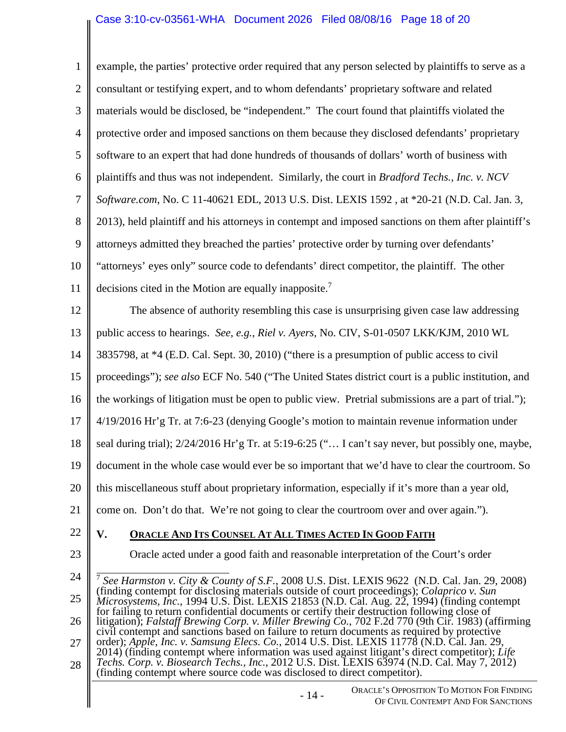$\mathsf{II}$ 

 $\parallel$ 

| $\mathbf{1}$   | example, the parties' protective order required that any person selected by plaintiffs to serve as a                                                                                                                                                                                        |
|----------------|---------------------------------------------------------------------------------------------------------------------------------------------------------------------------------------------------------------------------------------------------------------------------------------------|
| $\overline{2}$ | consultant or testifying expert, and to whom defendants' proprietary software and related                                                                                                                                                                                                   |
| 3              | materials would be disclosed, be "independent." The court found that plaintiffs violated the                                                                                                                                                                                                |
| $\overline{4}$ | protective order and imposed sanctions on them because they disclosed defendants' proprietary                                                                                                                                                                                               |
| 5              | software to an expert that had done hundreds of thousands of dollars' worth of business with                                                                                                                                                                                                |
| 6              | plaintiffs and thus was not independent. Similarly, the court in Bradford Techs., Inc. v. NCV                                                                                                                                                                                               |
| 7              | Software.com, No. C 11-40621 EDL, 2013 U.S. Dist. LEXIS 1592, at *20-21 (N.D. Cal. Jan. 3,                                                                                                                                                                                                  |
| 8              | 2013), held plaintiff and his attorneys in contempt and imposed sanctions on them after plaintiff's                                                                                                                                                                                         |
| 9              | attorneys admitted they breached the parties' protective order by turning over defendants'                                                                                                                                                                                                  |
| 10             | "attorneys' eyes only" source code to defendants' direct competitor, the plaintiff. The other                                                                                                                                                                                               |
| 11             | decisions cited in the Motion are equally inapposite. <sup>7</sup>                                                                                                                                                                                                                          |
| 12             | The absence of authority resembling this case is unsurprising given case law addressing                                                                                                                                                                                                     |
| 13             | public access to hearings. See, e.g., Riel v. Ayers, No. CIV, S-01-0507 LKK/KJM, 2010 WL                                                                                                                                                                                                    |
| 14             | 3835798, at *4 (E.D. Cal. Sept. 30, 2010) ("there is a presumption of public access to civil                                                                                                                                                                                                |
| 15             | proceedings"); see also ECF No. 540 ("The United States district court is a public institution, and                                                                                                                                                                                         |
| 16             | the workings of litigation must be open to public view. Pretrial submissions are a part of trial.");                                                                                                                                                                                        |
| 17             | 4/19/2016 Hr'g Tr. at 7:6-23 (denying Google's motion to maintain revenue information under                                                                                                                                                                                                 |
| 18             | seal during trial); 2/24/2016 Hr'g Tr. at 5:19-6:25 (" I can't say never, but possibly one, maybe,                                                                                                                                                                                          |
| 19             | document in the whole case would ever be so important that we'd have to clear the courtroom. So                                                                                                                                                                                             |
| 20             | this miscellaneous stuff about proprietary information, especially if it's more than a year old,                                                                                                                                                                                            |
| 21             | come on. Don't do that. We're not going to clear the courtroom over and over again.").                                                                                                                                                                                                      |
| 22             | V.<br>ORACLE AND ITS COUNSEL AT ALL TIMES ACTED IN GOOD FAITH                                                                                                                                                                                                                               |
| 23             | Oracle acted under a good faith and reasonable interpretation of the Court's order                                                                                                                                                                                                          |
| 24             | <sup>7</sup> See Harmston v. City & County of S.F., 2008 U.S. Dist. LEXIS 9622 (N.D. Cal. Jan. 29, 2008)                                                                                                                                                                                    |
| 25             | (finding contempt for disclosing materials outside of court proceedings); Colaprico v. Sun<br>Microsystems, Inc., 1994 U.S. Dist. LEXIS 21853 (N.D. Cal. Aug. 22, 1994) (finding contempt                                                                                                   |
| 26             | for failing to return confidential documents or certify their destruction following close of<br>litigation); Falstaff Brewing Corp. v. Miller Brewing Co., 702 F.2d 770 (9th Cir. 1983) (affirming                                                                                          |
| 27             | civil contempt and sanctions based on failure to return documents as required by protective<br>order); Apple, Inc. v. Samsung Elecs. Co., 2014 U.S. Dist. LEXIS 11778 (N.D. Cal. Jan. 29,<br>2014) (finding contempt where information was used against litigant's direct competitor); Life |
| 28             | Techs. Corp. v. Biosearch Techs., Inc., 2012 U.S. Dist. LEXIS 63974 (N.D. Cal. May 7, 2012)<br>(finding contempt where source code was disclosed to direct competitor).                                                                                                                     |
|                | ORACLE'S OPPOSITION TO MOTION FOR FINDING<br>$-14-$<br>OF CIVIL CONTEMPT AND FOR SANCTIONS                                                                                                                                                                                                  |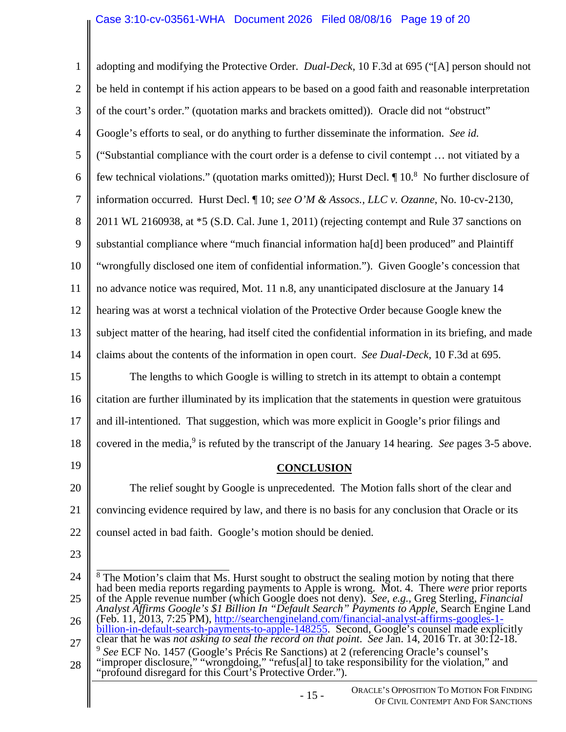| $\mathbf{1}$   | adopting and modifying the Protective Order. Dual-Deck, 10 F.3d at 695 ("[A] person should not                                                                                                                                                                                                |
|----------------|-----------------------------------------------------------------------------------------------------------------------------------------------------------------------------------------------------------------------------------------------------------------------------------------------|
| $\overline{2}$ | be held in contempt if his action appears to be based on a good faith and reasonable interpretation                                                                                                                                                                                           |
| 3              | of the court's order." (quotation marks and brackets omitted)). Oracle did not "obstruct"                                                                                                                                                                                                     |
| $\overline{4}$ | Google's efforts to seal, or do anything to further disseminate the information. See id.                                                                                                                                                                                                      |
| 5              | ("Substantial compliance with the court order is a defense to civil contempt  not vitiated by a                                                                                                                                                                                               |
| 6              | few technical violations." (quotation marks omitted)); Hurst Decl. $\P$ 10. <sup>8</sup> No further disclosure of                                                                                                                                                                             |
| $\tau$         | information occurred. Hurst Decl. ¶ 10; see O'M & Assocs., LLC v. Ozanne, No. 10-cv-2130,                                                                                                                                                                                                     |
| 8              | 2011 WL 2160938, at *5 (S.D. Cal. June 1, 2011) (rejecting contempt and Rule 37 sanctions on                                                                                                                                                                                                  |
| 9              | substantial compliance where "much financial information ha[d] been produced" and Plaintiff                                                                                                                                                                                                   |
| 10             | "wrongfully disclosed one item of confidential information."). Given Google's concession that                                                                                                                                                                                                 |
| 11             | no advance notice was required, Mot. 11 n.8, any unanticipated disclosure at the January 14                                                                                                                                                                                                   |
| 12             | hearing was at worst a technical violation of the Protective Order because Google knew the                                                                                                                                                                                                    |
| 13             | subject matter of the hearing, had itself cited the confidential information in its briefing, and made                                                                                                                                                                                        |
| 14             | claims about the contents of the information in open court. See Dual-Deck, 10 F.3d at 695.                                                                                                                                                                                                    |
| 15             | The lengths to which Google is willing to stretch in its attempt to obtain a contempt                                                                                                                                                                                                         |
| 16             | citation are further illuminated by its implication that the statements in question were gratuitous                                                                                                                                                                                           |
| 17             | and ill-intentioned. That suggestion, which was more explicit in Google's prior filings and                                                                                                                                                                                                   |
| 18             | covered in the media, <sup>9</sup> is refuted by the transcript of the January 14 hearing. See pages 3-5 above.                                                                                                                                                                               |
| 19             | <b>CONCLUSION</b>                                                                                                                                                                                                                                                                             |
| 20             | The relief sought by Google is unprecedented. The Motion falls short of the clear and                                                                                                                                                                                                         |
| 21             | convincing evidence required by law, and there is no basis for any conclusion that Oracle or its                                                                                                                                                                                              |
| 22             | counsel acted in bad faith. Google's motion should be denied.                                                                                                                                                                                                                                 |
| 23             |                                                                                                                                                                                                                                                                                               |
| 24             | <sup>8</sup> The Motion's claim that Ms. Hurst sought to obstruct the sealing motion by noting that there                                                                                                                                                                                     |
| 25             | had been media reports regarding payments to Apple is wrong. Mot. 4. There were prior reports of the Apple revenue number (which Google does not deny). See, e.g., Greg Sterling, Financial<br>Analyst Affirms Google's \$1 Billion In "Default Search" Payments to Apple, Search Engine Land |
| 26             | (Feb. 11, 2013, 7:25 PM), http://searchengineland.com/financial-analyst-affirms-googles-1-<br>billion-in-default-search-payments-to-apple-148255. Second, Google's counsel made explicitly                                                                                                    |
| 27             | clear that he was not asking to seal the record on that point. See Jan. 14, 2016 Tr. at 30:12-18.                                                                                                                                                                                             |

27 28 9 *See* ECF No. 1457 (Google's Précis Re Sanctions) at 2 (referencing Oracle's counsel's "improper disclosure," "wrongdoing," "refus[al] to take responsibility for the violation," and "profound disregard for this Court's Protective Order.").